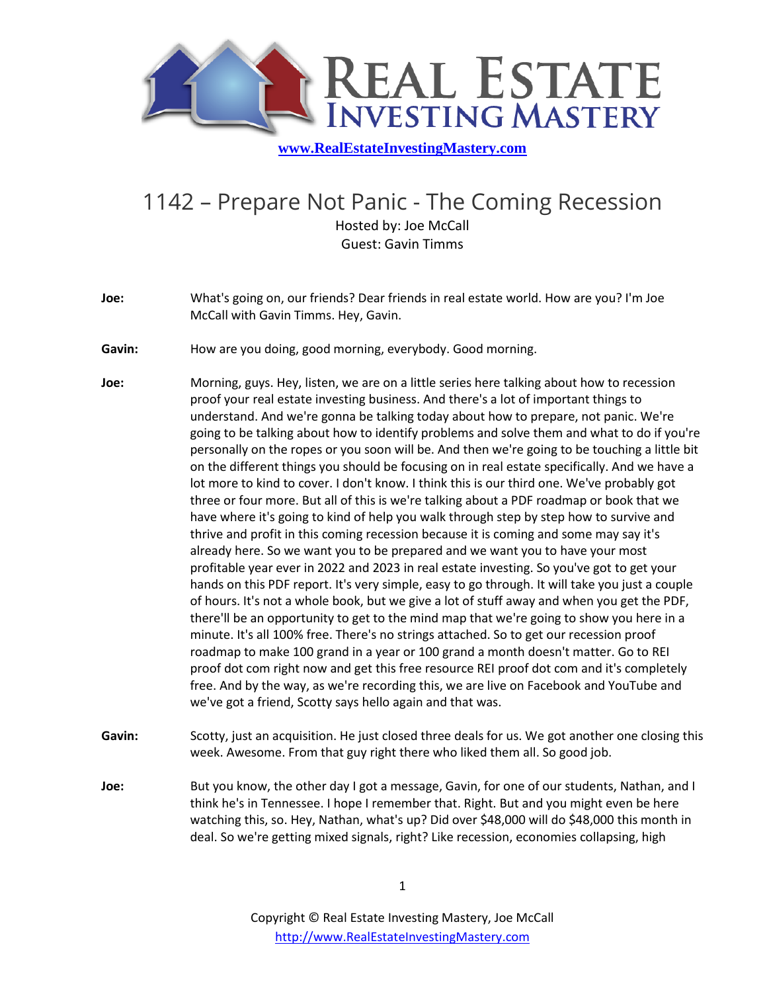

## 1142 – Prepare Not Panic - The Coming Recession

Hosted by: Joe McCall Guest: Gavin Timms

- **Joe:** What's going on, our friends? Dear friends in real estate world. How are you? I'm Joe McCall with Gavin Timms. Hey, Gavin.
- **Gavin:** How are you doing, good morning, everybody. Good morning.
- **Joe:** Morning, guys. Hey, listen, we are on a little series here talking about how to recession proof your real estate investing business. And there's a lot of important things to understand. And we're gonna be talking today about how to prepare, not panic. We're going to be talking about how to identify problems and solve them and what to do if you're personally on the ropes or you soon will be. And then we're going to be touching a little bit on the different things you should be focusing on in real estate specifically. And we have a lot more to kind to cover. I don't know. I think this is our third one. We've probably got three or four more. But all of this is we're talking about a PDF roadmap or book that we have where it's going to kind of help you walk through step by step how to survive and thrive and profit in this coming recession because it is coming and some may say it's already here. So we want you to be prepared and we want you to have your most profitable year ever in 2022 and 2023 in real estate investing. So you've got to get your hands on this PDF report. It's very simple, easy to go through. It will take you just a couple of hours. It's not a whole book, but we give a lot of stuff away and when you get the PDF, there'll be an opportunity to get to the mind map that we're going to show you here in a minute. It's all 100% free. There's no strings attached. So to get our recession proof roadmap to make 100 grand in a year or 100 grand a month doesn't matter. Go to REI proof dot com right now and get this free resource REI proof dot com and it's completely free. And by the way, as we're recording this, we are live on Facebook and YouTube and we've got a friend, Scotty says hello again and that was.
- **Gavin:** Scotty, just an acquisition. He just closed three deals for us. We got another one closing this week. Awesome. From that guy right there who liked them all. So good job.
- **Joe:** But you know, the other day I got a message, Gavin, for one of our students, Nathan, and I think he's in Tennessee. I hope I remember that. Right. But and you might even be here watching this, so. Hey, Nathan, what's up? Did over \$48,000 will do \$48,000 this month in deal. So we're getting mixed signals, right? Like recession, economies collapsing, high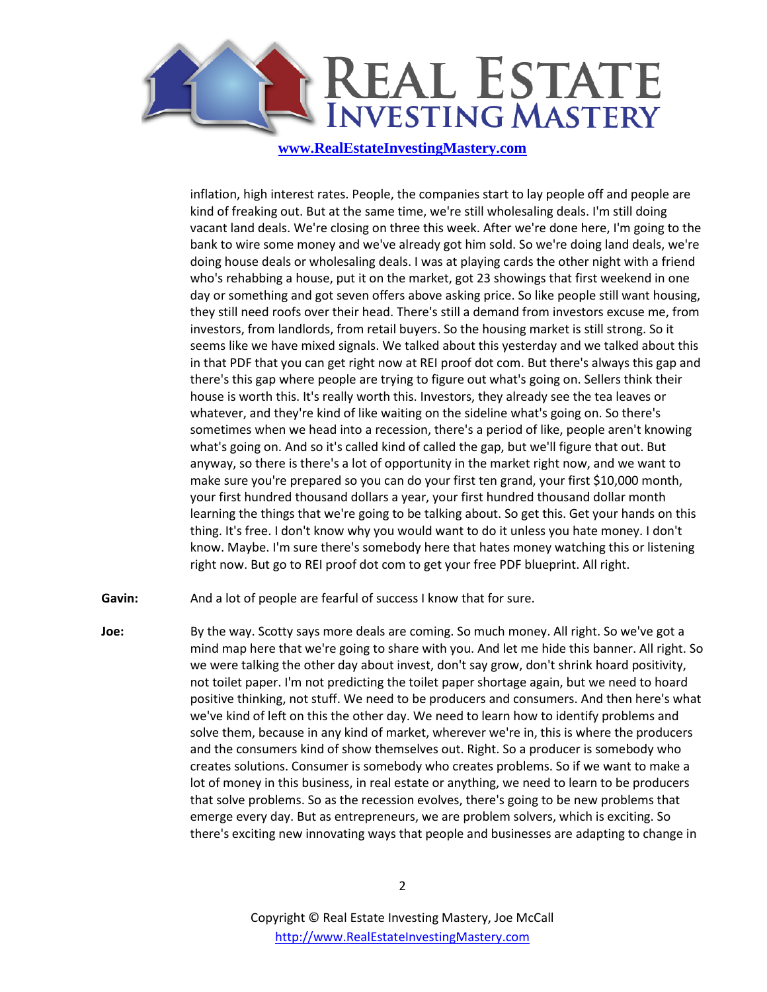

inflation, high interest rates. People, the companies start to lay people off and people are kind of freaking out. But at the same time, we're still wholesaling deals. I'm still doing vacant land deals. We're closing on three this week. After we're done here, I'm going to the bank to wire some money and we've already got him sold. So we're doing land deals, we're doing house deals or wholesaling deals. I was at playing cards the other night with a friend who's rehabbing a house, put it on the market, got 23 showings that first weekend in one day or something and got seven offers above asking price. So like people still want housing, they still need roofs over their head. There's still a demand from investors excuse me, from investors, from landlords, from retail buyers. So the housing market is still strong. So it seems like we have mixed signals. We talked about this yesterday and we talked about this in that PDF that you can get right now at REI proof dot com. But there's always this gap and there's this gap where people are trying to figure out what's going on. Sellers think their house is worth this. It's really worth this. Investors, they already see the tea leaves or whatever, and they're kind of like waiting on the sideline what's going on. So there's sometimes when we head into a recession, there's a period of like, people aren't knowing what's going on. And so it's called kind of called the gap, but we'll figure that out. But anyway, so there is there's a lot of opportunity in the market right now, and we want to make sure you're prepared so you can do your first ten grand, your first \$10,000 month, your first hundred thousand dollars a year, your first hundred thousand dollar month learning the things that we're going to be talking about. So get this. Get your hands on this thing. It's free. I don't know why you would want to do it unless you hate money. I don't know. Maybe. I'm sure there's somebody here that hates money watching this or listening right now. But go to REI proof dot com to get your free PDF blueprint. All right.

**Gavin:** And a lot of people are fearful of success I know that for sure.

**Joe:** By the way. Scotty says more deals are coming. So much money. All right. So we've got a mind map here that we're going to share with you. And let me hide this banner. All right. So we were talking the other day about invest, don't say grow, don't shrink hoard positivity, not toilet paper. I'm not predicting the toilet paper shortage again, but we need to hoard positive thinking, not stuff. We need to be producers and consumers. And then here's what we've kind of left on this the other day. We need to learn how to identify problems and solve them, because in any kind of market, wherever we're in, this is where the producers and the consumers kind of show themselves out. Right. So a producer is somebody who creates solutions. Consumer is somebody who creates problems. So if we want to make a lot of money in this business, in real estate or anything, we need to learn to be producers that solve problems. So as the recession evolves, there's going to be new problems that emerge every day. But as entrepreneurs, we are problem solvers, which is exciting. So there's exciting new innovating ways that people and businesses are adapting to change in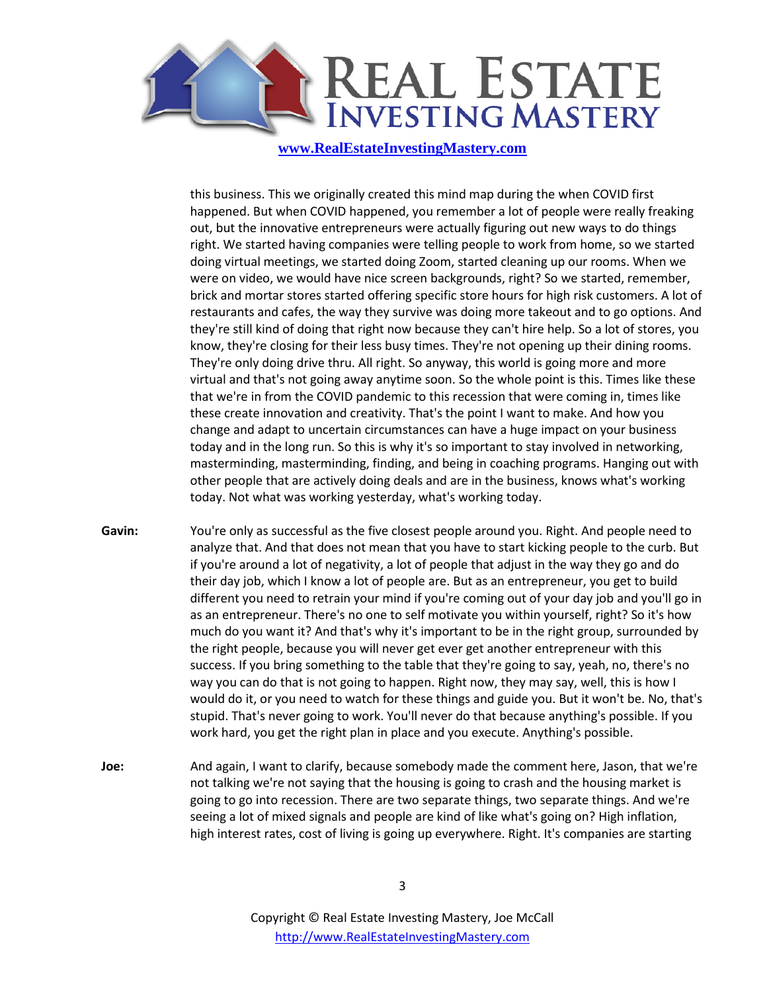

this business. This we originally created this mind map during the when COVID first happened. But when COVID happened, you remember a lot of people were really freaking out, but the innovative entrepreneurs were actually figuring out new ways to do things right. We started having companies were telling people to work from home, so we started doing virtual meetings, we started doing Zoom, started cleaning up our rooms. When we were on video, we would have nice screen backgrounds, right? So we started, remember, brick and mortar stores started offering specific store hours for high risk customers. A lot of restaurants and cafes, the way they survive was doing more takeout and to go options. And they're still kind of doing that right now because they can't hire help. So a lot of stores, you know, they're closing for their less busy times. They're not opening up their dining rooms. They're only doing drive thru. All right. So anyway, this world is going more and more virtual and that's not going away anytime soon. So the whole point is this. Times like these that we're in from the COVID pandemic to this recession that were coming in, times like these create innovation and creativity. That's the point I want to make. And how you change and adapt to uncertain circumstances can have a huge impact on your business today and in the long run. So this is why it's so important to stay involved in networking, masterminding, masterminding, finding, and being in coaching programs. Hanging out with other people that are actively doing deals and are in the business, knows what's working today. Not what was working yesterday, what's working today.

- **Gavin:** You're only as successful as the five closest people around you. Right. And people need to analyze that. And that does not mean that you have to start kicking people to the curb. But if you're around a lot of negativity, a lot of people that adjust in the way they go and do their day job, which I know a lot of people are. But as an entrepreneur, you get to build different you need to retrain your mind if you're coming out of your day job and you'll go in as an entrepreneur. There's no one to self motivate you within yourself, right? So it's how much do you want it? And that's why it's important to be in the right group, surrounded by the right people, because you will never get ever get another entrepreneur with this success. If you bring something to the table that they're going to say, yeah, no, there's no way you can do that is not going to happen. Right now, they may say, well, this is how I would do it, or you need to watch for these things and guide you. But it won't be. No, that's stupid. That's never going to work. You'll never do that because anything's possible. If you work hard, you get the right plan in place and you execute. Anything's possible.
- **Joe:** And again, I want to clarify, because somebody made the comment here, Jason, that we're not talking we're not saying that the housing is going to crash and the housing market is going to go into recession. There are two separate things, two separate things. And we're seeing a lot of mixed signals and people are kind of like what's going on? High inflation, high interest rates, cost of living is going up everywhere. Right. It's companies are starting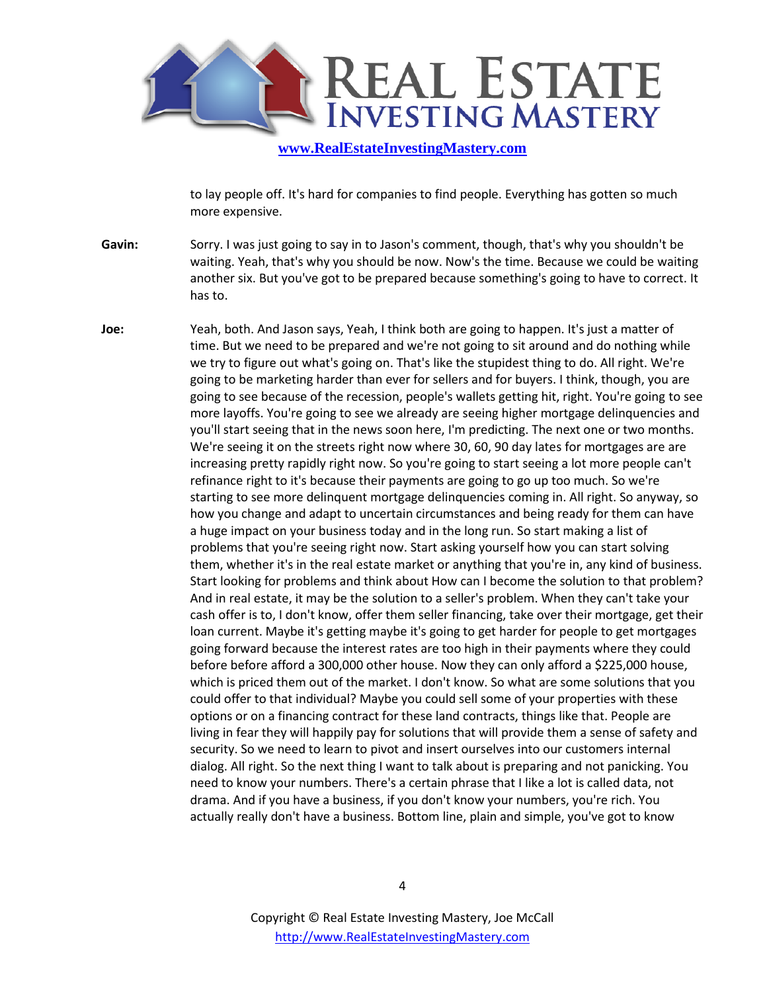

to lay people off. It's hard for companies to find people. Everything has gotten so much more expensive.

- **Gavin:** Sorry. I was just going to say in to Jason's comment, though, that's why you shouldn't be waiting. Yeah, that's why you should be now. Now's the time. Because we could be waiting another six. But you've got to be prepared because something's going to have to correct. It has to.
- **Joe:** Yeah, both. And Jason says, Yeah, I think both are going to happen. It's just a matter of time. But we need to be prepared and we're not going to sit around and do nothing while we try to figure out what's going on. That's like the stupidest thing to do. All right. We're going to be marketing harder than ever for sellers and for buyers. I think, though, you are going to see because of the recession, people's wallets getting hit, right. You're going to see more layoffs. You're going to see we already are seeing higher mortgage delinquencies and you'll start seeing that in the news soon here, I'm predicting. The next one or two months. We're seeing it on the streets right now where 30, 60, 90 day lates for mortgages are are increasing pretty rapidly right now. So you're going to start seeing a lot more people can't refinance right to it's because their payments are going to go up too much. So we're starting to see more delinquent mortgage delinquencies coming in. All right. So anyway, so how you change and adapt to uncertain circumstances and being ready for them can have a huge impact on your business today and in the long run. So start making a list of problems that you're seeing right now. Start asking yourself how you can start solving them, whether it's in the real estate market or anything that you're in, any kind of business. Start looking for problems and think about How can I become the solution to that problem? And in real estate, it may be the solution to a seller's problem. When they can't take your cash offer is to, I don't know, offer them seller financing, take over their mortgage, get their loan current. Maybe it's getting maybe it's going to get harder for people to get mortgages going forward because the interest rates are too high in their payments where they could before before afford a 300,000 other house. Now they can only afford a \$225,000 house, which is priced them out of the market. I don't know. So what are some solutions that you could offer to that individual? Maybe you could sell some of your properties with these options or on a financing contract for these land contracts, things like that. People are living in fear they will happily pay for solutions that will provide them a sense of safety and security. So we need to learn to pivot and insert ourselves into our customers internal dialog. All right. So the next thing I want to talk about is preparing and not panicking. You need to know your numbers. There's a certain phrase that I like a lot is called data, not drama. And if you have a business, if you don't know your numbers, you're rich. You actually really don't have a business. Bottom line, plain and simple, you've got to know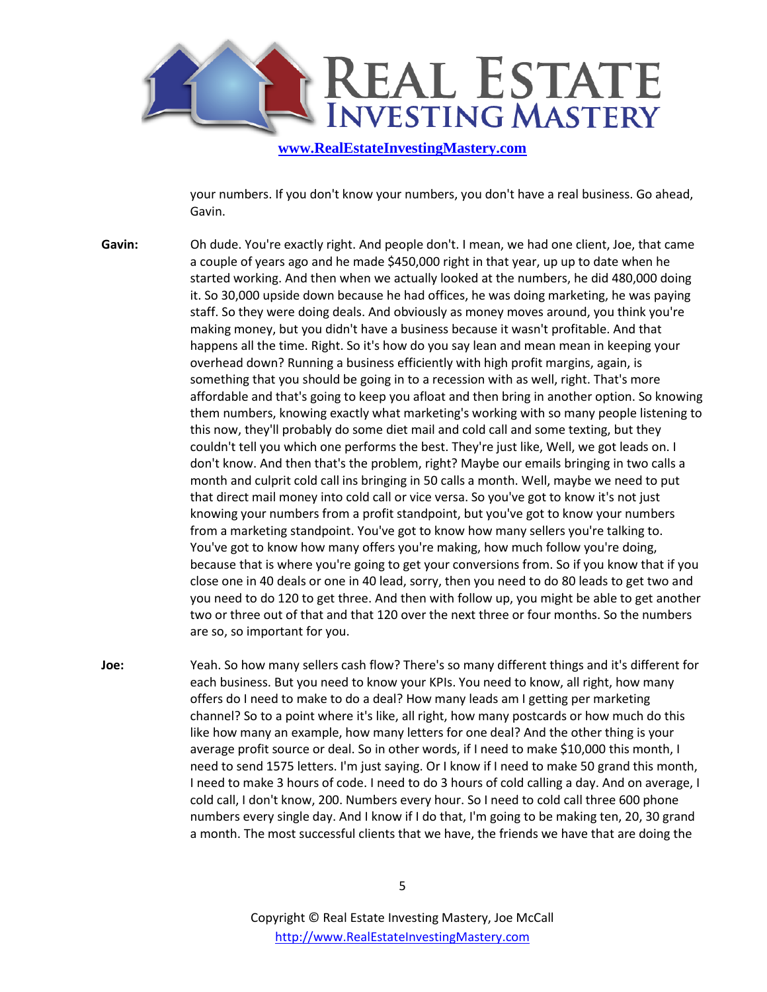

your numbers. If you don't know your numbers, you don't have a real business. Go ahead, Gavin.

- **Gavin:** Oh dude. You're exactly right. And people don't. I mean, we had one client, Joe, that came a couple of years ago and he made \$450,000 right in that year, up up to date when he started working. And then when we actually looked at the numbers, he did 480,000 doing it. So 30,000 upside down because he had offices, he was doing marketing, he was paying staff. So they were doing deals. And obviously as money moves around, you think you're making money, but you didn't have a business because it wasn't profitable. And that happens all the time. Right. So it's how do you say lean and mean mean in keeping your overhead down? Running a business efficiently with high profit margins, again, is something that you should be going in to a recession with as well, right. That's more affordable and that's going to keep you afloat and then bring in another option. So knowing them numbers, knowing exactly what marketing's working with so many people listening to this now, they'll probably do some diet mail and cold call and some texting, but they couldn't tell you which one performs the best. They're just like, Well, we got leads on. I don't know. And then that's the problem, right? Maybe our emails bringing in two calls a month and culprit cold call ins bringing in 50 calls a month. Well, maybe we need to put that direct mail money into cold call or vice versa. So you've got to know it's not just knowing your numbers from a profit standpoint, but you've got to know your numbers from a marketing standpoint. You've got to know how many sellers you're talking to. You've got to know how many offers you're making, how much follow you're doing, because that is where you're going to get your conversions from. So if you know that if you close one in 40 deals or one in 40 lead, sorry, then you need to do 80 leads to get two and you need to do 120 to get three. And then with follow up, you might be able to get another two or three out of that and that 120 over the next three or four months. So the numbers are so, so important for you.
- **Joe:** Yeah. So how many sellers cash flow? There's so many different things and it's different for each business. But you need to know your KPIs. You need to know, all right, how many offers do I need to make to do a deal? How many leads am I getting per marketing channel? So to a point where it's like, all right, how many postcards or how much do this like how many an example, how many letters for one deal? And the other thing is your average profit source or deal. So in other words, if I need to make \$10,000 this month, I need to send 1575 letters. I'm just saying. Or I know if I need to make 50 grand this month, I need to make 3 hours of code. I need to do 3 hours of cold calling a day. And on average, I cold call, I don't know, 200. Numbers every hour. So I need to cold call three 600 phone numbers every single day. And I know if I do that, I'm going to be making ten, 20, 30 grand a month. The most successful clients that we have, the friends we have that are doing the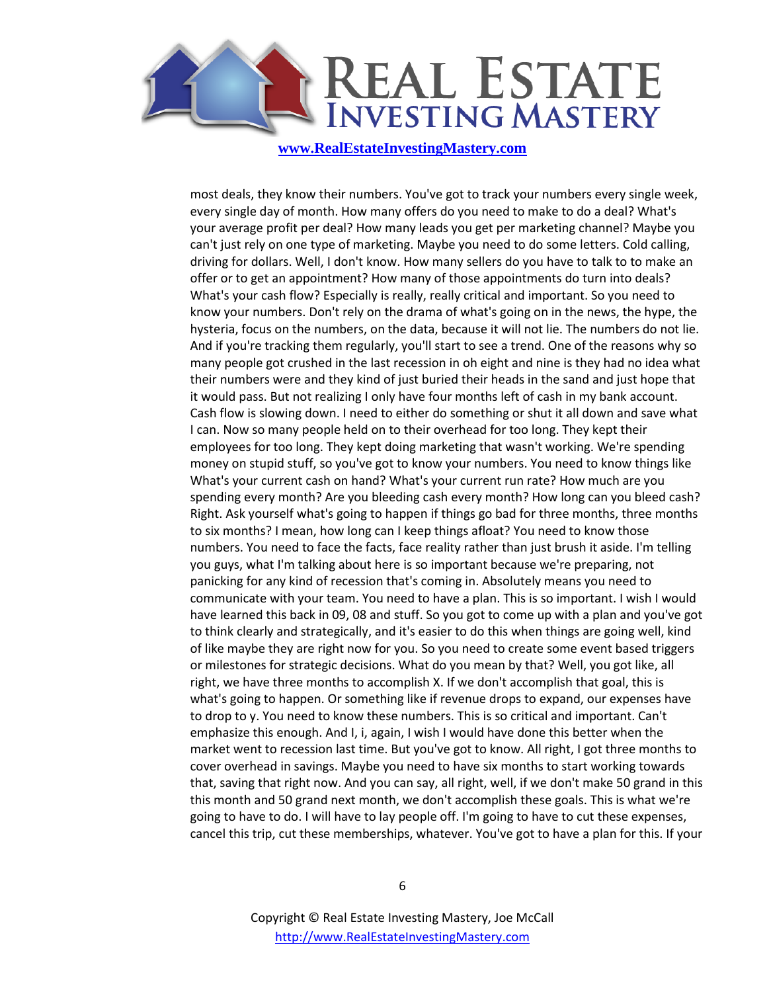

most deals, they know their numbers. You've got to track your numbers every single week, every single day of month. How many offers do you need to make to do a deal? What's your average profit per deal? How many leads you get per marketing channel? Maybe you can't just rely on one type of marketing. Maybe you need to do some letters. Cold calling, driving for dollars. Well, I don't know. How many sellers do you have to talk to to make an offer or to get an appointment? How many of those appointments do turn into deals? What's your cash flow? Especially is really, really critical and important. So you need to know your numbers. Don't rely on the drama of what's going on in the news, the hype, the hysteria, focus on the numbers, on the data, because it will not lie. The numbers do not lie. And if you're tracking them regularly, you'll start to see a trend. One of the reasons why so many people got crushed in the last recession in oh eight and nine is they had no idea what their numbers were and they kind of just buried their heads in the sand and just hope that it would pass. But not realizing I only have four months left of cash in my bank account. Cash flow is slowing down. I need to either do something or shut it all down and save what I can. Now so many people held on to their overhead for too long. They kept their employees for too long. They kept doing marketing that wasn't working. We're spending money on stupid stuff, so you've got to know your numbers. You need to know things like What's your current cash on hand? What's your current run rate? How much are you spending every month? Are you bleeding cash every month? How long can you bleed cash? Right. Ask yourself what's going to happen if things go bad for three months, three months to six months? I mean, how long can I keep things afloat? You need to know those numbers. You need to face the facts, face reality rather than just brush it aside. I'm telling you guys, what I'm talking about here is so important because we're preparing, not panicking for any kind of recession that's coming in. Absolutely means you need to communicate with your team. You need to have a plan. This is so important. I wish I would have learned this back in 09, 08 and stuff. So you got to come up with a plan and you've got to think clearly and strategically, and it's easier to do this when things are going well, kind of like maybe they are right now for you. So you need to create some event based triggers or milestones for strategic decisions. What do you mean by that? Well, you got like, all right, we have three months to accomplish X. If we don't accomplish that goal, this is what's going to happen. Or something like if revenue drops to expand, our expenses have to drop to y. You need to know these numbers. This is so critical and important. Can't emphasize this enough. And I, i, again, I wish I would have done this better when the market went to recession last time. But you've got to know. All right, I got three months to cover overhead in savings. Maybe you need to have six months to start working towards that, saving that right now. And you can say, all right, well, if we don't make 50 grand in this this month and 50 grand next month, we don't accomplish these goals. This is what we're going to have to do. I will have to lay people off. I'm going to have to cut these expenses, cancel this trip, cut these memberships, whatever. You've got to have a plan for this. If your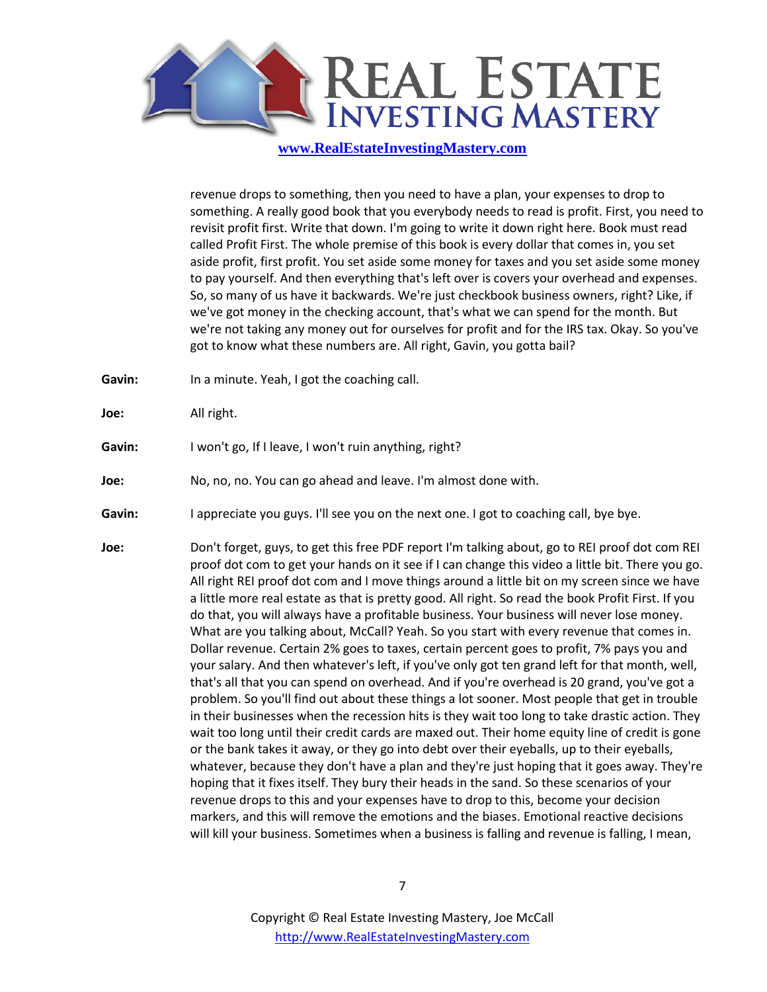

revenue drops to something, then you need to have a plan, your expenses to drop to something. A really good book that you everybody needs to read is profit. First, you need to revisit profit first. Write that down. I'm going to write it down right here. Book must read called Profit First. The whole premise of this book is every dollar that comes in, you set aside profit, first profit. You set aside some money for taxes and you set aside some money to pay yourself. And then everything that's left over is covers your overhead and expenses. So, so many of us have it backwards. We're just checkbook business owners, right? Like, if we've got money in the checking account, that's what we can spend for the month. But we're not taking any money out for ourselves for profit and for the IRS tax. Okay. So you've got to know what these numbers are. All right, Gavin, you gotta bail?

- Gavin: In a minute. Yeah, I got the coaching call.
- **Joe:** All right.
- Gavin: I won't go, If I leave, I won't ruin anything, right?
- **Joe:** No, no, no. You can go ahead and leave. I'm almost done with.
- Gavin: I appreciate you guys. I'll see you on the next one. I got to coaching call, bye bye.
- **Joe:** Don't forget, guys, to get this free PDF report I'm talking about, go to REI proof dot com REI proof dot com to get your hands on it see if I can change this video a little bit. There you go. All right REI proof dot com and I move things around a little bit on my screen since we have a little more real estate as that is pretty good. All right. So read the book Profit First. If you do that, you will always have a profitable business. Your business will never lose money. What are you talking about, McCall? Yeah. So you start with every revenue that comes in. Dollar revenue. Certain 2% goes to taxes, certain percent goes to profit, 7% pays you and your salary. And then whatever's left, if you've only got ten grand left for that month, well, that's all that you can spend on overhead. And if you're overhead is 20 grand, you've got a problem. So you'll find out about these things a lot sooner. Most people that get in trouble in their businesses when the recession hits is they wait too long to take drastic action. They wait too long until their credit cards are maxed out. Their home equity line of credit is gone or the bank takes it away, or they go into debt over their eyeballs, up to their eyeballs, whatever, because they don't have a plan and they're just hoping that it goes away. They're hoping that it fixes itself. They bury their heads in the sand. So these scenarios of your revenue drops to this and your expenses have to drop to this, become your decision markers, and this will remove the emotions and the biases. Emotional reactive decisions will kill your business. Sometimes when a business is falling and revenue is falling, I mean,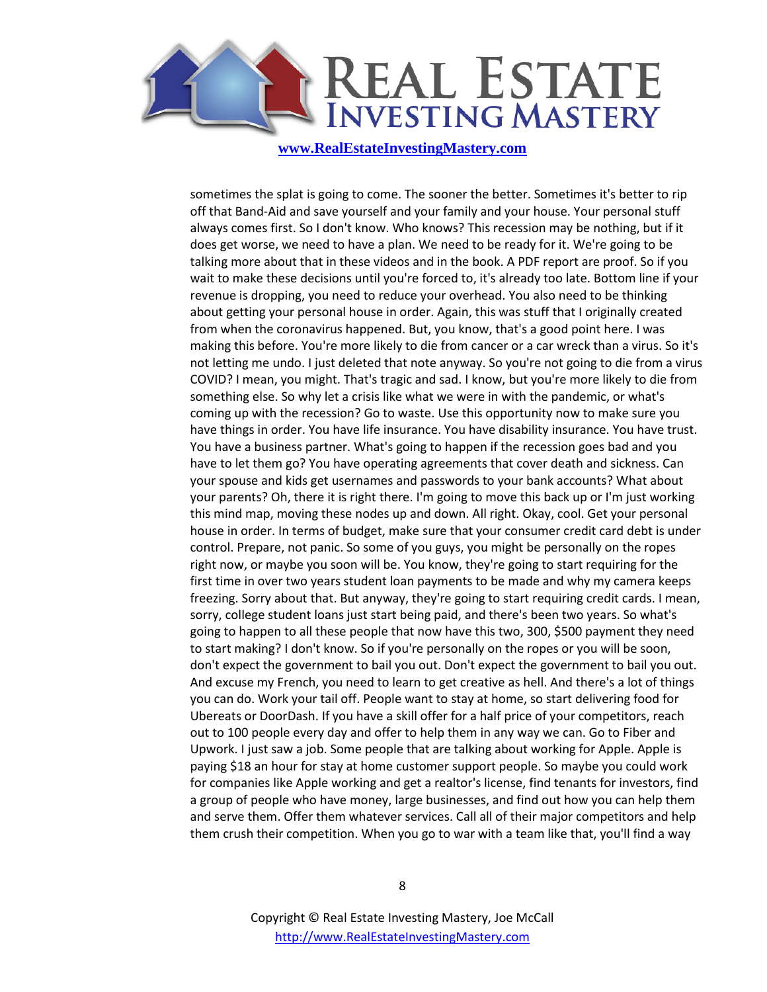

sometimes the splat is going to come. The sooner the better. Sometimes it's better to rip off that Band-Aid and save yourself and your family and your house. Your personal stuff always comes first. So I don't know. Who knows? This recession may be nothing, but if it does get worse, we need to have a plan. We need to be ready for it. We're going to be talking more about that in these videos and in the book. A PDF report are proof. So if you wait to make these decisions until you're forced to, it's already too late. Bottom line if your revenue is dropping, you need to reduce your overhead. You also need to be thinking about getting your personal house in order. Again, this was stuff that I originally created from when the coronavirus happened. But, you know, that's a good point here. I was making this before. You're more likely to die from cancer or a car wreck than a virus. So it's not letting me undo. I just deleted that note anyway. So you're not going to die from a virus COVID? I mean, you might. That's tragic and sad. I know, but you're more likely to die from something else. So why let a crisis like what we were in with the pandemic, or what's coming up with the recession? Go to waste. Use this opportunity now to make sure you have things in order. You have life insurance. You have disability insurance. You have trust. You have a business partner. What's going to happen if the recession goes bad and you have to let them go? You have operating agreements that cover death and sickness. Can your spouse and kids get usernames and passwords to your bank accounts? What about your parents? Oh, there it is right there. I'm going to move this back up or I'm just working this mind map, moving these nodes up and down. All right. Okay, cool. Get your personal house in order. In terms of budget, make sure that your consumer credit card debt is under control. Prepare, not panic. So some of you guys, you might be personally on the ropes right now, or maybe you soon will be. You know, they're going to start requiring for the first time in over two years student loan payments to be made and why my camera keeps freezing. Sorry about that. But anyway, they're going to start requiring credit cards. I mean, sorry, college student loans just start being paid, and there's been two years. So what's going to happen to all these people that now have this two, 300, \$500 payment they need to start making? I don't know. So if you're personally on the ropes or you will be soon, don't expect the government to bail you out. Don't expect the government to bail you out. And excuse my French, you need to learn to get creative as hell. And there's a lot of things you can do. Work your tail off. People want to stay at home, so start delivering food for Ubereats or DoorDash. If you have a skill offer for a half price of your competitors, reach out to 100 people every day and offer to help them in any way we can. Go to Fiber and Upwork. I just saw a job. Some people that are talking about working for Apple. Apple is paying \$18 an hour for stay at home customer support people. So maybe you could work for companies like Apple working and get a realtor's license, find tenants for investors, find a group of people who have money, large businesses, and find out how you can help them and serve them. Offer them whatever services. Call all of their major competitors and help them crush their competition. When you go to war with a team like that, you'll find a way